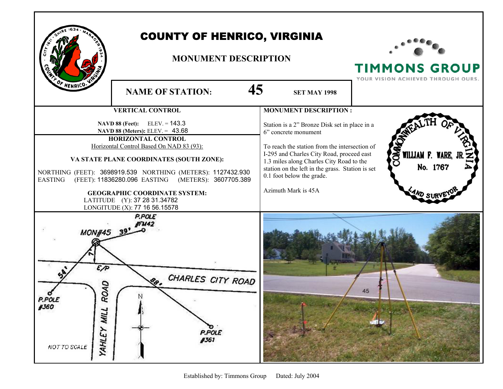